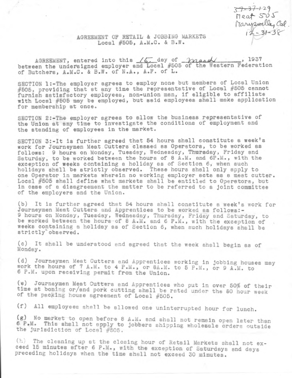**3-^-37-v** *<sup>1</sup> °!* **\_\_\_**  $near$  $so$ s *fta A J W Z u d ttij Cat*. *r*

## **AGREEMENT OP RETAIL & JOBBING MARKETS Local #505, A.M.C. & B.W.**

**AGREEMENT, entered into this** */C7* **day of^** *yyia^aA/***\_\_\_\_\_\_\_, 1937 between the undersigned employer and Local #505 of the Western Federation of Butchers, A.M.C. & B.W. of N.A., A.F. of L.**

**SECTION 1:-The employer agrees to employ none but members of Local Union #505, providing that at any time the representative of Local #505 cannot furnish satisfactory employees, non-union man, if eligible to affiliate with Local #505 may be employed, but said employees shall make application for membership at once.**

**SECTION 2:-The employer agrees to allow the business representative of the Union at any time to investigate the conditions of employment and the standing of employees in the market.**

**SECTION 3:-It is further agreed that 54 hours shall constitute a week's work for Journeymen Meat Cutters classed as Operators, to be worked as follows: 9 hours on Monday, Tuesday, Wednesday, Thursday, Friday and Saturday, to be worked between the hours of 8 A.M. and 6P.M., with the exception of weeks containing a holiday as of Section 6, when such holidays shell be strictly observed. These hours shall only apply to one Operator in markets wherein no working employer acts as a meat cutter. Local #505 shell define what markets shell be entitled to Operators, but in case of a disagreement the matter to be referred to a joint committee of the employers and the Union.**

**(b) It is further agreed that 54 hours shall constitute a week's work for Journeymen Meat Cutters and Apprentices to be worked as follows:- 9 hours on Monday, Tuesday, Wednesday, Thursday, Friday and Saturday, to be worked between the hours of 8 A.M. and 6 P.M., with the exception of weeks containing a holiday as of Section 6, when such holidays shall be** strictly observed.

(c) It shall be understood and agreed that the week shall begin as of **Monday.**

**(d) Journeymen Meat Cutters and Apprentices working in jobbing houses may work the hours of 7 A.M. to 4 P.M., or 8A.M. to 5 P.M., or 9 A.M. to 6 P.M. upon receiving permit from the Union.**

**(e) Journeymen Meat Cutters and Apprentices who put in over 50\$ of their time at boning or/and pork cutting shall be rated under the 50 hour week of the packing house agreement of Local #505.**

**(f) All employees shall be allowed one uninterrupted hour for lunch.**

(g) No market to open before 8 A.M. and shall not remain open later than **6 P.M. This shell not apply to jobbers shipping wholesale orders outside the jurisdiction of Local #505.**

**(h) The cleaning up at the closing hour of Retail Markets shall not exceed 15 minutes after 6 P.M., with the exception of Saturdays and days preceding holidays when the time shall not exceed 30 minutes.**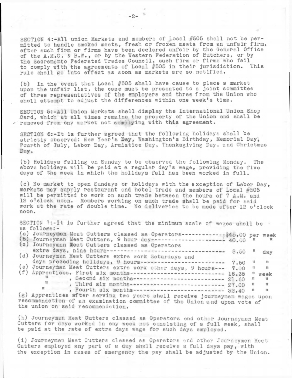**SECTION 4:-All union Markets and members of Local #505 shall not be permitted to handle smoked mests, fresh or frozen meats from an unfair firm, after such firm or firms have been declared unfair by the General Office of the** AoM.C. & B.W., **or by the Western Federation of Butchers, or by the Sacramento Federated Trades Council, such firm or firms who fail to comply with the agreements of Local #505 in their jurisdiction. This rule shall go into effect ss soon as markets are so notified.**

**(b) In the event that Local #505 shall have cause to place a market upon the unfair list, the esse must be presented to e joint committee of three representatives of the employers snd three from the Union who shall attempt to adjust the differences within one week's time.**

**SECTION 5:-All Union Markets shall display the International Union Shop Card, which at all times remains the property of the Union and shall be removed from any market not complying with this agreement.**

**SECTION 6:-It is further agreed that the following holidays shall be strictly observed: New Year's Day, Washington's Birthday, Memorial Day, Fourth of July, Lsbor Day, Armistice Day, Thanksgiving Day, and Christmas Day.**

**(b) Holidays falling on Sunday to be observed the following Monday. The above holidays will be peid at a regular day's wage, providing the five deys of the week in which the holidays fall has been worked in full.**

**(c) No market to open Sundays or holidays with the exception of Labor Day, markets may supply restaurant end hotel trade and members of Local #505 will be permitted to work on such trade between the hours of 7 A.M. and 12 o'clock noon. Members working on such trade shall be paid for said work 8t the rate of double time. No deliveries to be msde after 12 o'clock noon.**

**SECTION 7:-It is further agreed that the minimum scale of wages shsll be as follows:-**

- a) Journeyman Meat Cutters classed as Operators------------------\$45.00 per week
- **Journeyman Meat Cutters, 9 hour day-------- 40.00 ti n Journeyman Beat Cutters classed as Operators**
- (d) Journeyman Meat Cutters extra work Saturdays and **extra days, nine hours--------------------- 8.50 n day**
- **days preceding holidays, 9 hours------------- 7.50 n n Journeyman Meat Cutters extra work other days, (e) 9 hours-- 7.00 ti n Apprentices, First six months---------------- (f) 18.35 if week 1** , Second six months-------------------------- 21.60 **ii ii** 
	- **1** , Third six months-------------------------- 27.00 **ii n**

**1** , Fourth six months-------------------------- 32.40 **ti it Apprentices after serving two years shall receive journeymen (g) wages uoon recommendation of an examination committee of the Union and upon vote of the union on said recommendation.**

**(h) Journeyman Meat Cutters classed as Operators and other Journeyman Meat Cutters for days worked in any week not consisting of a full week, shall be paid at the rate of extra days wage for such days employed.**

**(i) Journeyman Meat Cutters classed as Operators and other Journeyman Meat Cutters employed any part of a day shall receive a full days pay, with the exception in esses of emergency the psy shall be adjusted by the Union.**